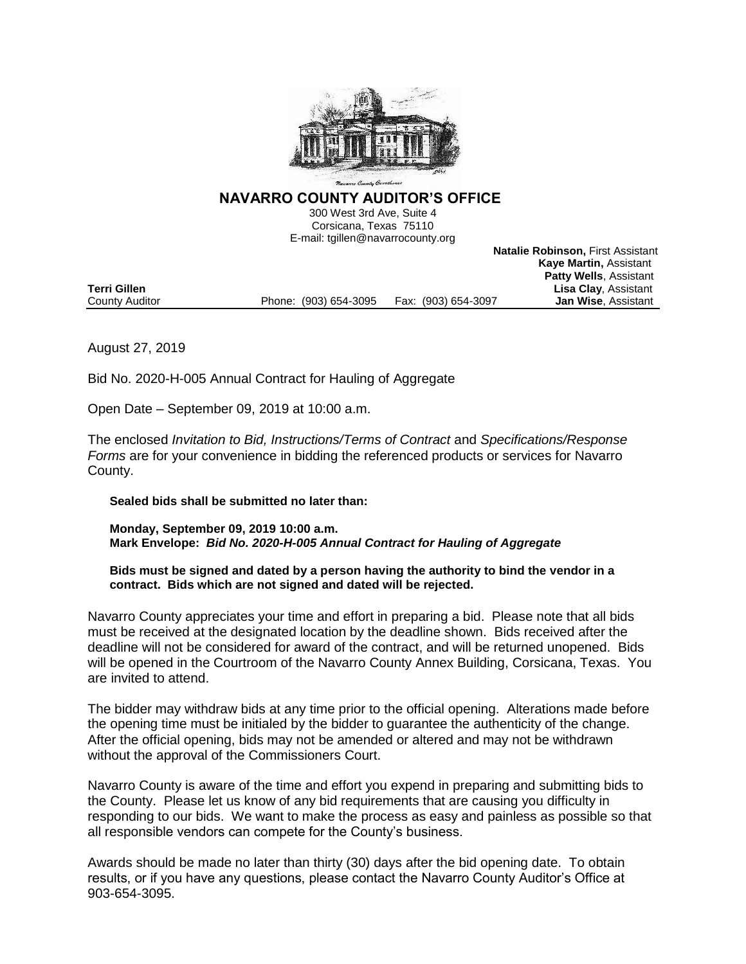

# **NAVARRO COUNTY AUDITOR'S OFFICE**

300 West 3rd Ave, Suite 4 Corsicana, Texas 75110 E-mail: tgillen@navarrocounty.org

 **Kaye Martin,** Assistant **Patty Wells**, Assistant **Terri Gillen Lisa Clay**, Assistant<br>
County Auditor **County Auditor County Auditor County Auditor County Auditor County Auditor County Auditor County Auditor County Auditor County Auditor County Auditor** County Auditor **Phone:** (903) 654-3095 Fax: (903) 654-3097

**Natalie Robinson,** First Assistant

August 27, 2019

Bid No. 2020-H-005 Annual Contract for Hauling of Aggregate

Open Date – September 09, 2019 at 10:00 a.m.

The enclosed *Invitation to Bid, Instructions/Terms of Contract* and *Specifications/Response Forms* are for your convenience in bidding the referenced products or services for Navarro County.

**Sealed bids shall be submitted no later than:**

**Monday, September 09, 2019 10:00 a.m. Mark Envelope:** *Bid No. 2020-H-005 Annual Contract for Hauling of Aggregate*

**Bids must be signed and dated by a person having the authority to bind the vendor in a contract. Bids which are not signed and dated will be rejected.**

Navarro County appreciates your time and effort in preparing a bid. Please note that all bids must be received at the designated location by the deadline shown. Bids received after the deadline will not be considered for award of the contract, and will be returned unopened. Bids will be opened in the Courtroom of the Navarro County Annex Building, Corsicana, Texas. You are invited to attend.

The bidder may withdraw bids at any time prior to the official opening. Alterations made before the opening time must be initialed by the bidder to guarantee the authenticity of the change. After the official opening, bids may not be amended or altered and may not be withdrawn without the approval of the Commissioners Court.

Navarro County is aware of the time and effort you expend in preparing and submitting bids to the County. Please let us know of any bid requirements that are causing you difficulty in responding to our bids. We want to make the process as easy and painless as possible so that all responsible vendors can compete for the County's business.

Awards should be made no later than thirty (30) days after the bid opening date. To obtain results, or if you have any questions, please contact the Navarro County Auditor's Office at 903-654-3095.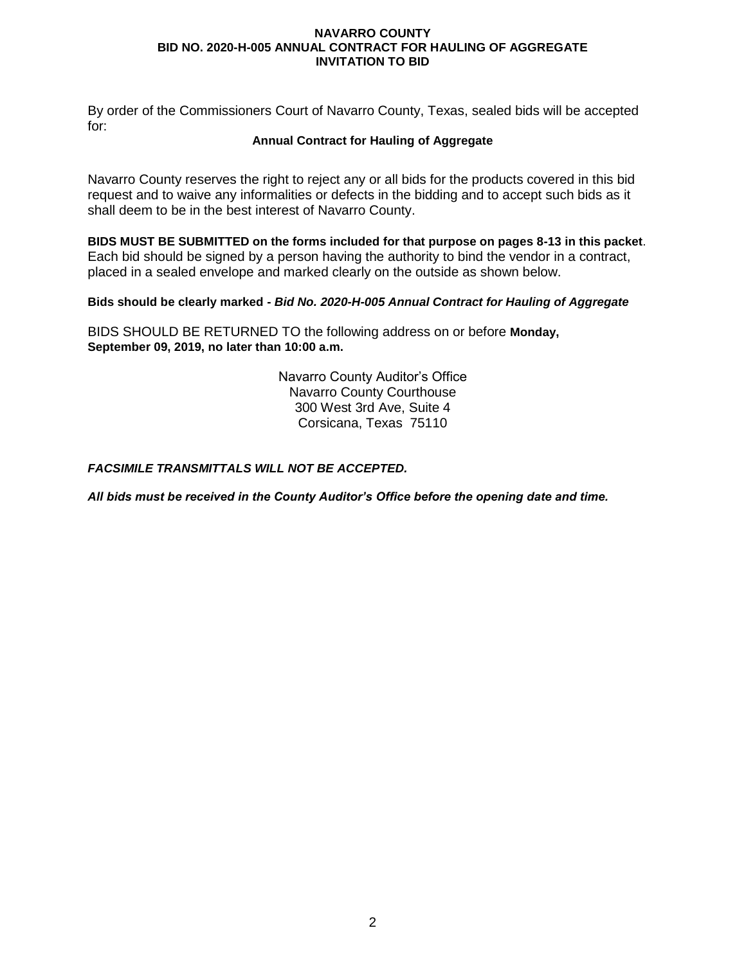By order of the Commissioners Court of Navarro County, Texas, sealed bids will be accepted for:

## **Annual Contract for Hauling of Aggregate**

Navarro County reserves the right to reject any or all bids for the products covered in this bid request and to waive any informalities or defects in the bidding and to accept such bids as it shall deem to be in the best interest of Navarro County.

**BIDS MUST BE SUBMITTED on the forms included for that purpose on pages 8-13 in this packet**. Each bid should be signed by a person having the authority to bind the vendor in a contract, placed in a sealed envelope and marked clearly on the outside as shown below.

## **Bids should be clearly marked -** *Bid No. 2020-H-005 Annual Contract for Hauling of Aggregate*

BIDS SHOULD BE RETURNED TO the following address on or before **Monday, September 09, 2019, no later than 10:00 a.m.**

> Navarro County Auditor's Office Navarro County Courthouse 300 West 3rd Ave, Suite 4 Corsicana, Texas 75110

# *FACSIMILE TRANSMITTALS WILL NOT BE ACCEPTED.*

*All bids must be received in the County Auditor's Office before the opening date and time.*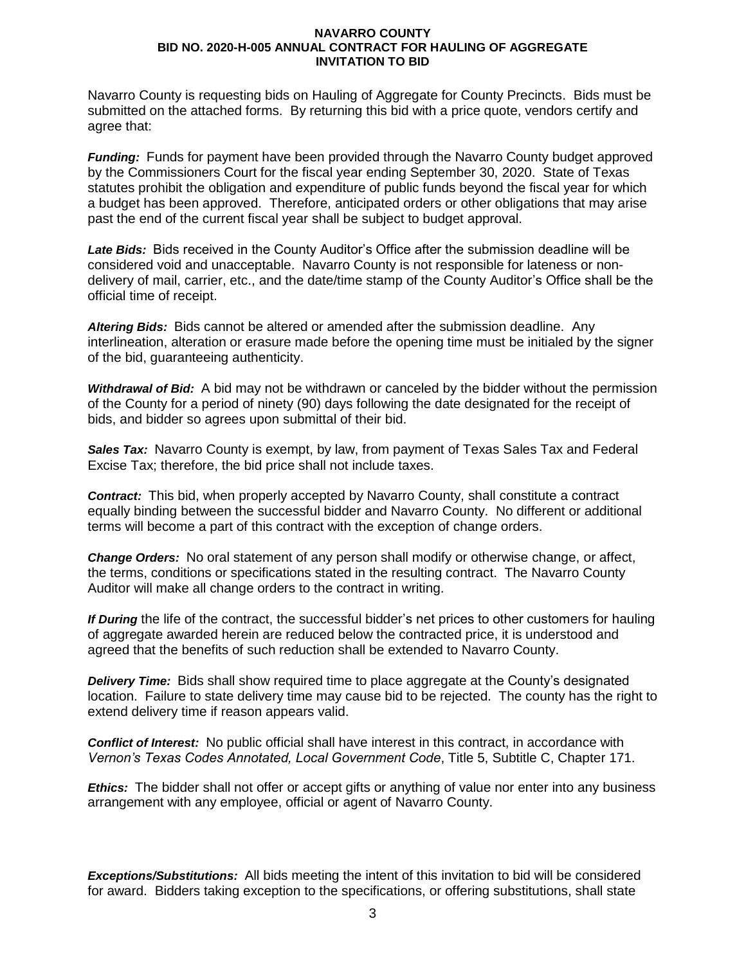Navarro County is requesting bids on Hauling of Aggregate for County Precincts. Bids must be submitted on the attached forms. By returning this bid with a price quote, vendors certify and agree that:

*Funding:* Funds for payment have been provided through the Navarro County budget approved by the Commissioners Court for the fiscal year ending September 30, 2020. State of Texas statutes prohibit the obligation and expenditure of public funds beyond the fiscal year for which a budget has been approved. Therefore, anticipated orders or other obligations that may arise past the end of the current fiscal year shall be subject to budget approval.

*Late Bids:* Bids received in the County Auditor's Office after the submission deadline will be considered void and unacceptable. Navarro County is not responsible for lateness or nondelivery of mail, carrier, etc., and the date/time stamp of the County Auditor's Office shall be the official time of receipt.

*Altering Bids:* Bids cannot be altered or amended after the submission deadline. Any interlineation, alteration or erasure made before the opening time must be initialed by the signer of the bid, guaranteeing authenticity.

*Withdrawal of Bid:* A bid may not be withdrawn or canceled by the bidder without the permission of the County for a period of ninety (90) days following the date designated for the receipt of bids, and bidder so agrees upon submittal of their bid.

Sales Tax: Navarro County is exempt, by law, from payment of Texas Sales Tax and Federal Excise Tax; therefore, the bid price shall not include taxes.

*Contract:* This bid, when properly accepted by Navarro County, shall constitute a contract equally binding between the successful bidder and Navarro County. No different or additional terms will become a part of this contract with the exception of change orders.

*Change Orders:* No oral statement of any person shall modify or otherwise change, or affect, the terms, conditions or specifications stated in the resulting contract. The Navarro County Auditor will make all change orders to the contract in writing.

*If During* the life of the contract, the successful bidder's net prices to other customers for hauling of aggregate awarded herein are reduced below the contracted price, it is understood and agreed that the benefits of such reduction shall be extended to Navarro County.

*Delivery Time:* Bids shall show required time to place aggregate at the County's designated location. Failure to state delivery time may cause bid to be rejected. The county has the right to extend delivery time if reason appears valid.

*Conflict of Interest:* No public official shall have interest in this contract, in accordance with *Vernon's Texas Codes Annotated, Local Government Code*, Title 5, Subtitle C, Chapter 171.

*Ethics:* The bidder shall not offer or accept gifts or anything of value nor enter into any business arrangement with any employee, official or agent of Navarro County.

*Exceptions/Substitutions:* All bids meeting the intent of this invitation to bid will be considered for award. Bidders taking exception to the specifications, or offering substitutions, shall state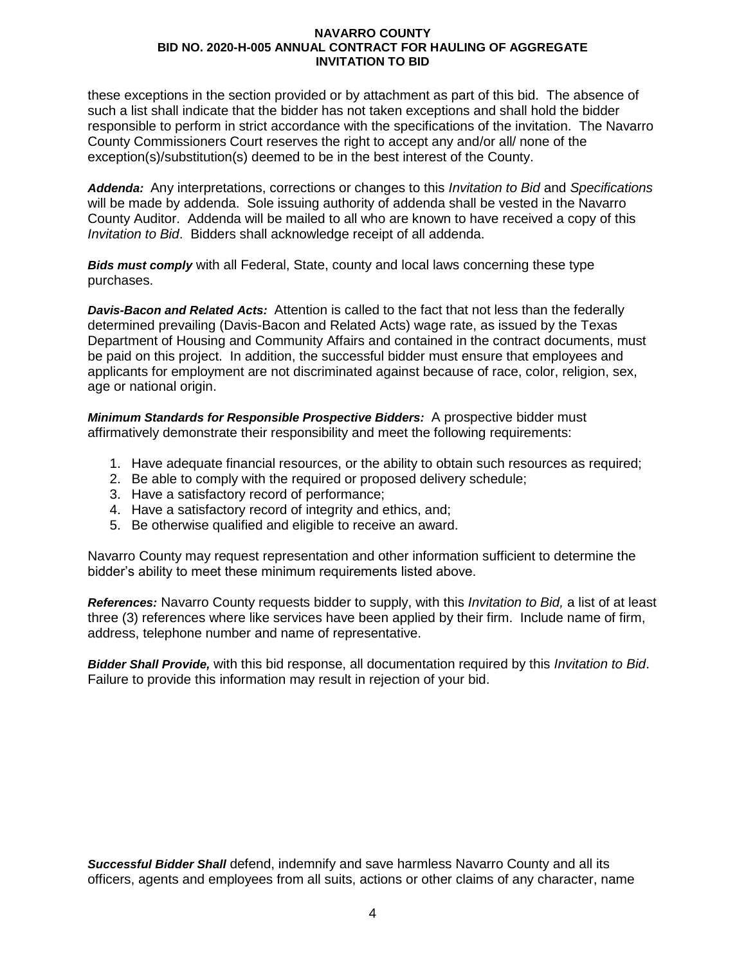these exceptions in the section provided or by attachment as part of this bid. The absence of such a list shall indicate that the bidder has not taken exceptions and shall hold the bidder responsible to perform in strict accordance with the specifications of the invitation. The Navarro County Commissioners Court reserves the right to accept any and/or all/ none of the exception(s)/substitution(s) deemed to be in the best interest of the County.

*Addenda:* Any interpretations, corrections or changes to this *Invitation to Bid* and *Specifications* will be made by addenda. Sole issuing authority of addenda shall be vested in the Navarro County Auditor. Addenda will be mailed to all who are known to have received a copy of this *Invitation to Bid*. Bidders shall acknowledge receipt of all addenda.

*Bids must comply* with all Federal, State, county and local laws concerning these type purchases.

*Davis-Bacon and Related Acts:* Attention is called to the fact that not less than the federally determined prevailing (Davis-Bacon and Related Acts) wage rate, as issued by the Texas Department of Housing and Community Affairs and contained in the contract documents, must be paid on this project. In addition, the successful bidder must ensure that employees and applicants for employment are not discriminated against because of race, color, religion, sex, age or national origin.

*Minimum Standards for Responsible Prospective Bidders:* A prospective bidder must affirmatively demonstrate their responsibility and meet the following requirements:

- 1. Have adequate financial resources, or the ability to obtain such resources as required;
- 2. Be able to comply with the required or proposed delivery schedule;
- 3. Have a satisfactory record of performance;
- 4. Have a satisfactory record of integrity and ethics, and;
- 5. Be otherwise qualified and eligible to receive an award.

Navarro County may request representation and other information sufficient to determine the bidder's ability to meet these minimum requirements listed above.

*References:* Navarro County requests bidder to supply, with this *Invitation to Bid,* a list of at least three (3) references where like services have been applied by their firm. Include name of firm, address, telephone number and name of representative.

*Bidder Shall Provide,* with this bid response, all documentation required by this *Invitation to Bid*. Failure to provide this information may result in rejection of your bid.

*Successful Bidder Shall* defend, indemnify and save harmless Navarro County and all its officers, agents and employees from all suits, actions or other claims of any character, name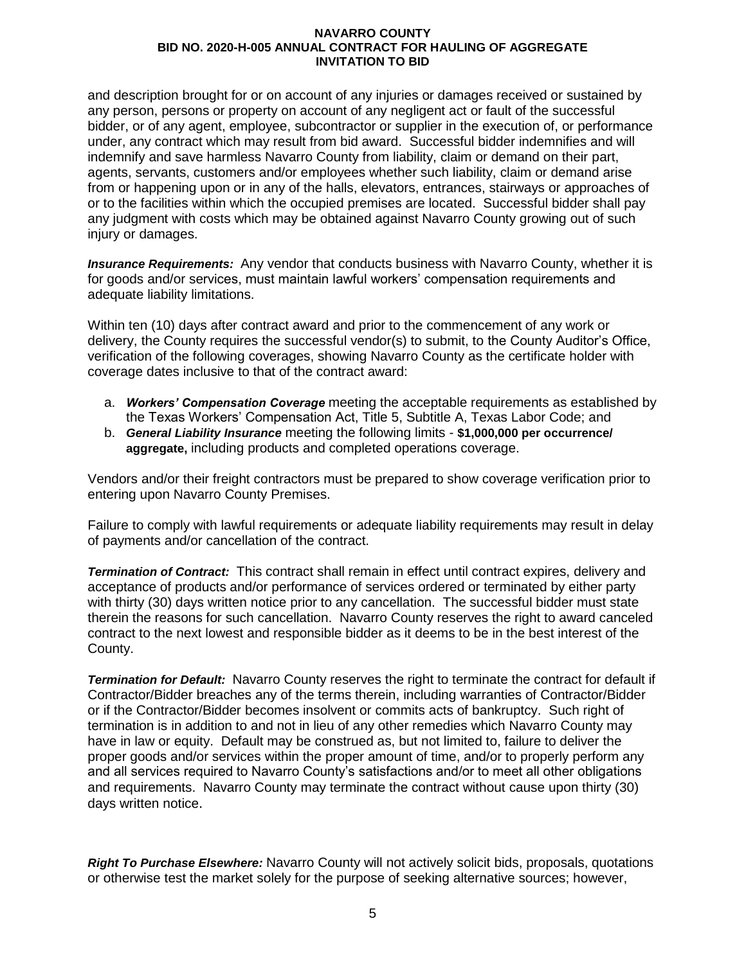and description brought for or on account of any injuries or damages received or sustained by any person, persons or property on account of any negligent act or fault of the successful bidder, or of any agent, employee, subcontractor or supplier in the execution of, or performance under, any contract which may result from bid award. Successful bidder indemnifies and will indemnify and save harmless Navarro County from liability, claim or demand on their part, agents, servants, customers and/or employees whether such liability, claim or demand arise from or happening upon or in any of the halls, elevators, entrances, stairways or approaches of or to the facilities within which the occupied premises are located. Successful bidder shall pay any judgment with costs which may be obtained against Navarro County growing out of such injury or damages.

*Insurance Requirements:* Any vendor that conducts business with Navarro County, whether it is for goods and/or services, must maintain lawful workers' compensation requirements and adequate liability limitations.

Within ten (10) days after contract award and prior to the commencement of any work or delivery, the County requires the successful vendor(s) to submit, to the County Auditor's Office, verification of the following coverages, showing Navarro County as the certificate holder with coverage dates inclusive to that of the contract award:

- a. *Workers' Compensation Coverage* meeting the acceptable requirements as established by the Texas Workers' Compensation Act, Title 5, Subtitle A, Texas Labor Code; and
- b. *General Liability Insurance* meeting the following limits **\$1,000,000 per occurrence/ aggregate,** including products and completed operations coverage.

Vendors and/or their freight contractors must be prepared to show coverage verification prior to entering upon Navarro County Premises.

Failure to comply with lawful requirements or adequate liability requirements may result in delay of payments and/or cancellation of the contract.

*Termination of Contract:* This contract shall remain in effect until contract expires, delivery and acceptance of products and/or performance of services ordered or terminated by either party with thirty (30) days written notice prior to any cancellation. The successful bidder must state therein the reasons for such cancellation. Navarro County reserves the right to award canceled contract to the next lowest and responsible bidder as it deems to be in the best interest of the County.

*Termination for Default:* Navarro County reserves the right to terminate the contract for default if Contractor/Bidder breaches any of the terms therein, including warranties of Contractor/Bidder or if the Contractor/Bidder becomes insolvent or commits acts of bankruptcy. Such right of termination is in addition to and not in lieu of any other remedies which Navarro County may have in law or equity. Default may be construed as, but not limited to, failure to deliver the proper goods and/or services within the proper amount of time, and/or to properly perform any and all services required to Navarro County's satisfactions and/or to meet all other obligations and requirements. Navarro County may terminate the contract without cause upon thirty (30) days written notice.

*Right To Purchase Elsewhere:* Navarro County will not actively solicit bids, proposals, quotations or otherwise test the market solely for the purpose of seeking alternative sources; however,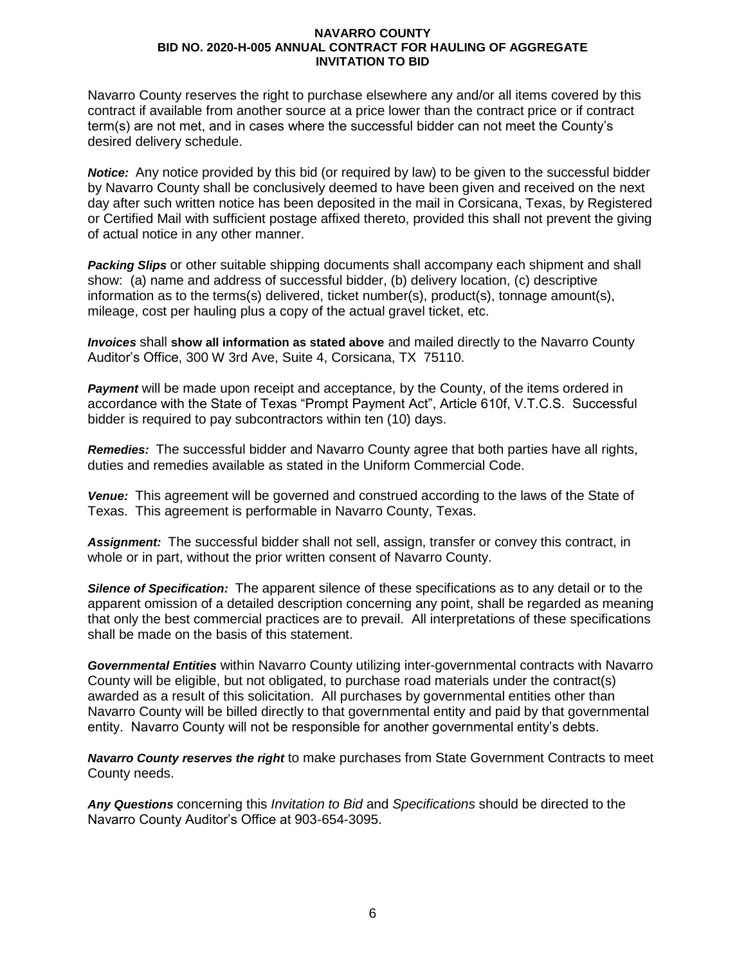Navarro County reserves the right to purchase elsewhere any and/or all items covered by this contract if available from another source at a price lower than the contract price or if contract term(s) are not met, and in cases where the successful bidder can not meet the County's desired delivery schedule.

*Notice:* Any notice provided by this bid (or required by law) to be given to the successful bidder by Navarro County shall be conclusively deemed to have been given and received on the next day after such written notice has been deposited in the mail in Corsicana, Texas, by Registered or Certified Mail with sufficient postage affixed thereto, provided this shall not prevent the giving of actual notice in any other manner.

*Packing Slips* or other suitable shipping documents shall accompany each shipment and shall show: (a) name and address of successful bidder, (b) delivery location, (c) descriptive information as to the terms(s) delivered, ticket number(s), product(s), tonnage amount(s), mileage, cost per hauling plus a copy of the actual gravel ticket, etc.

*Invoices* shall **show all information as stated above** and mailed directly to the Navarro County Auditor's Office, 300 W 3rd Ave, Suite 4, Corsicana, TX 75110.

**Payment** will be made upon receipt and acceptance, by the County, of the items ordered in accordance with the State of Texas "Prompt Payment Act", Article 610f, V.T.C.S. Successful bidder is required to pay subcontractors within ten (10) days.

*Remedies:* The successful bidder and Navarro County agree that both parties have all rights, duties and remedies available as stated in the Uniform Commercial Code.

*Venue:* This agreement will be governed and construed according to the laws of the State of Texas. This agreement is performable in Navarro County, Texas.

*Assignment:* The successful bidder shall not sell, assign, transfer or convey this contract, in whole or in part, without the prior written consent of Navarro County.

*Silence of Specification:* The apparent silence of these specifications as to any detail or to the apparent omission of a detailed description concerning any point, shall be regarded as meaning that only the best commercial practices are to prevail. All interpretations of these specifications shall be made on the basis of this statement.

*Governmental Entities* within Navarro County utilizing inter-governmental contracts with Navarro County will be eligible, but not obligated, to purchase road materials under the contract(s) awarded as a result of this solicitation. All purchases by governmental entities other than Navarro County will be billed directly to that governmental entity and paid by that governmental entity. Navarro County will not be responsible for another governmental entity's debts.

*Navarro County reserves the right* to make purchases from State Government Contracts to meet County needs.

*Any Questions* concerning this *Invitation to Bid* and *Specifications* should be directed to the Navarro County Auditor's Office at 903-654-3095.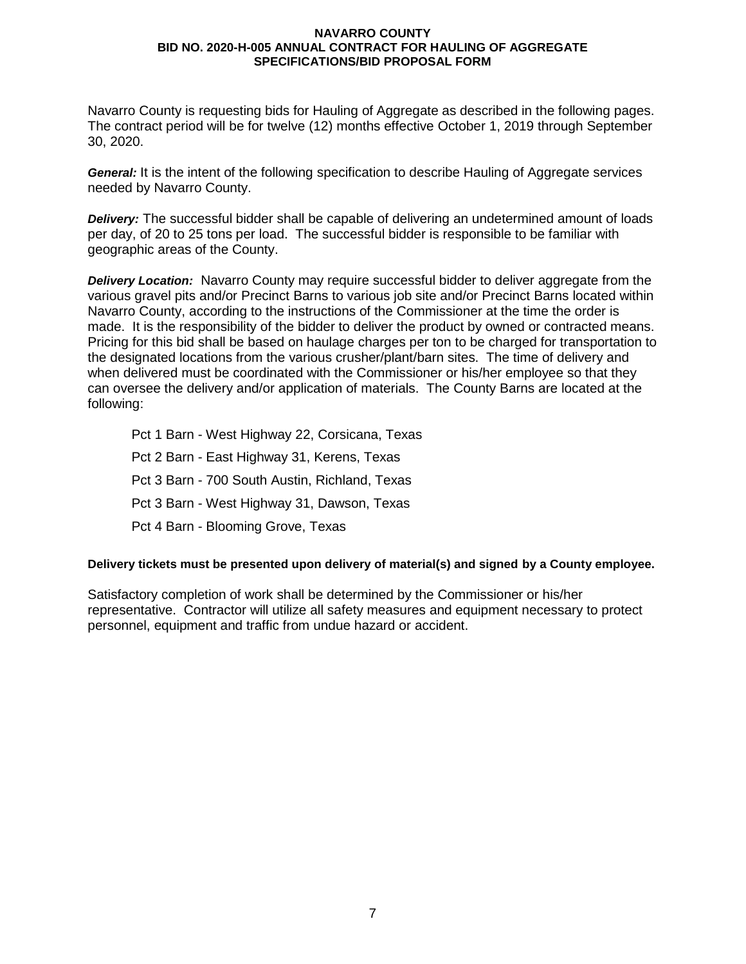Navarro County is requesting bids for Hauling of Aggregate as described in the following pages. The contract period will be for twelve (12) months effective October 1, 2019 through September 30, 2020.

*General:* It is the intent of the following specification to describe Hauling of Aggregate services needed by Navarro County.

*Delivery:* The successful bidder shall be capable of delivering an undetermined amount of loads per day, of 20 to 25 tons per load. The successful bidder is responsible to be familiar with geographic areas of the County.

*Delivery Location:* Navarro County may require successful bidder to deliver aggregate from the various gravel pits and/or Precinct Barns to various job site and/or Precinct Barns located within Navarro County, according to the instructions of the Commissioner at the time the order is made. It is the responsibility of the bidder to deliver the product by owned or contracted means. Pricing for this bid shall be based on haulage charges per ton to be charged for transportation to the designated locations from the various crusher/plant/barn sites. The time of delivery and when delivered must be coordinated with the Commissioner or his/her employee so that they can oversee the delivery and/or application of materials. The County Barns are located at the following:

Pct 1 Barn - West Highway 22, Corsicana, Texas Pct 2 Barn - East Highway 31, Kerens, Texas Pct 3 Barn - 700 South Austin, Richland, Texas Pct 3 Barn - West Highway 31, Dawson, Texas Pct 4 Barn - Blooming Grove, Texas

## **Delivery tickets must be presented upon delivery of material(s) and signed by a County employee.**

Satisfactory completion of work shall be determined by the Commissioner or his/her representative. Contractor will utilize all safety measures and equipment necessary to protect personnel, equipment and traffic from undue hazard or accident.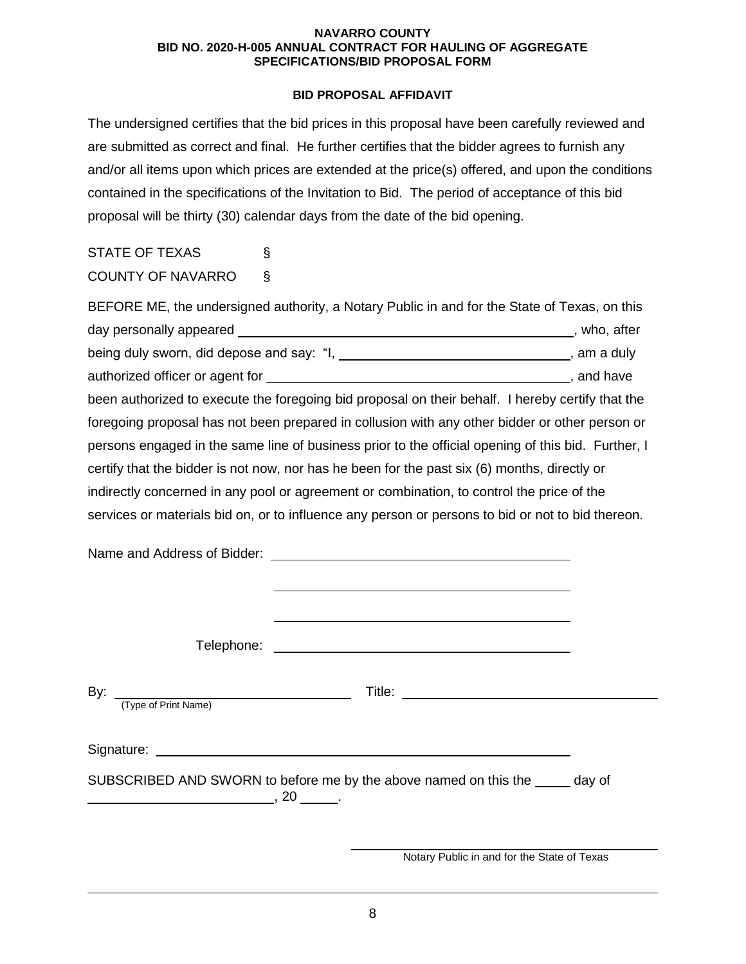# **BID PROPOSAL AFFIDAVIT**

The undersigned certifies that the bid prices in this proposal have been carefully reviewed and are submitted as correct and final. He further certifies that the bidder agrees to furnish any and/or all items upon which prices are extended at the price(s) offered, and upon the conditions contained in the specifications of the Invitation to Bid. The period of acceptance of this bid proposal will be thirty (30) calendar days from the date of the bid opening.

| <b>STATE OF TEXAS</b>    | Ş. |
|--------------------------|----|
| <b>COUNTY OF NAVARRO</b> | Ş. |

|  | BEFORE ME, the undersigned authority, a Notary Public in and for the State of Texas, on this       |  |
|--|----------------------------------------------------------------------------------------------------|--|
|  |                                                                                                    |  |
|  | being duly sworn, did depose and say: "I, ________________________________, am a duly              |  |
|  |                                                                                                    |  |
|  | been authorized to execute the foregoing bid proposal on their behalf. I hereby certify that the   |  |
|  | foregoing proposal has not been prepared in collusion with any other bidder or other person or     |  |
|  | persons engaged in the same line of business prior to the official opening of this bid. Further, I |  |
|  | certify that the bidder is not now, nor has he been for the past six (6) months, directly or       |  |
|  | indirectly concerned in any pool or agreement or combination, to control the price of the          |  |
|  | services or materials bid on, or to influence any person or persons to bid or not to bid thereon.  |  |
|  |                                                                                                    |  |
|  |                                                                                                    |  |
|  |                                                                                                    |  |
|  |                                                                                                    |  |
|  |                                                                                                    |  |
|  |                                                                                                    |  |
|  |                                                                                                    |  |
|  |                                                                                                    |  |
|  | By: $\frac{1}{(\text{Type of Print Name})}$ Title:                                                 |  |
|  |                                                                                                    |  |
|  |                                                                                                    |  |
|  | SUBSCRIBED AND SWORN to before me by the above named on this the _____ day of                      |  |
|  |                                                                                                    |  |
|  |                                                                                                    |  |
|  |                                                                                                    |  |
|  | Notary Public in and for the State of Texas                                                        |  |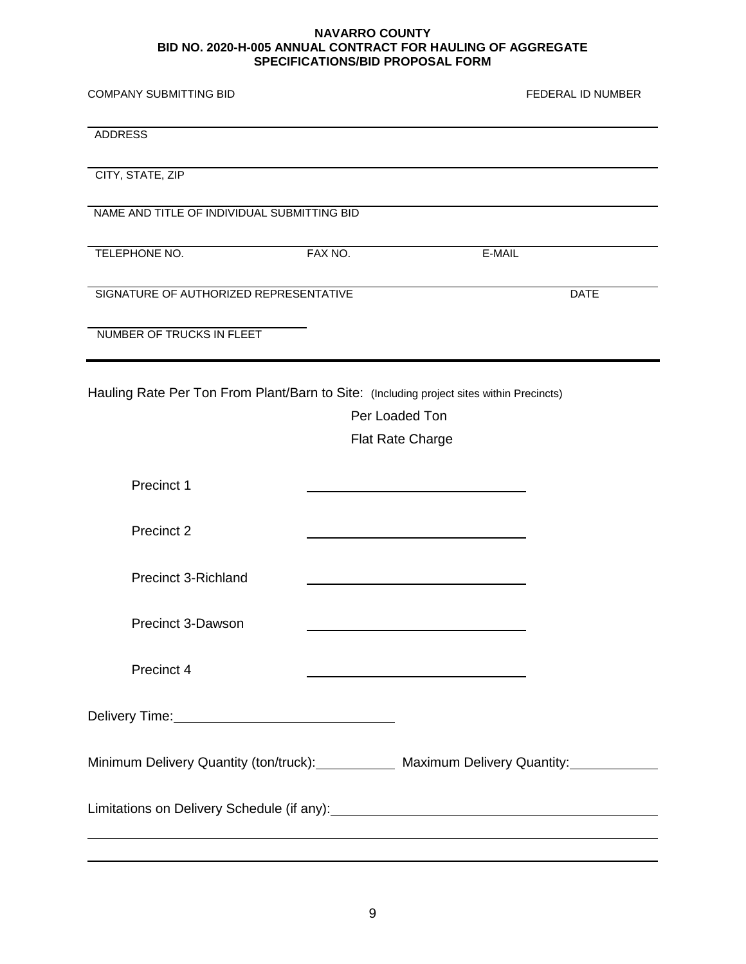| <b>COMPANY SUBMITTING BID</b>                                                                |         |                         | <b>FEDERAL ID NUMBER</b> |
|----------------------------------------------------------------------------------------------|---------|-------------------------|--------------------------|
| <b>ADDRESS</b>                                                                               |         |                         |                          |
| CITY, STATE, ZIP                                                                             |         |                         |                          |
| NAME AND TITLE OF INDIVIDUAL SUBMITTING BID                                                  |         |                         |                          |
| TELEPHONE NO.                                                                                | FAX NO. | E-MAIL                  |                          |
| SIGNATURE OF AUTHORIZED REPRESENTATIVE                                                       |         |                         | <b>DATE</b>              |
| NUMBER OF TRUCKS IN FLEET                                                                    |         |                         |                          |
| Hauling Rate Per Ton From Plant/Barn to Site: (Including project sites within Precincts)     |         |                         |                          |
|                                                                                              |         | Per Loaded Ton          |                          |
|                                                                                              |         | <b>Flat Rate Charge</b> |                          |
|                                                                                              |         |                         |                          |
| Precinct 1                                                                                   |         |                         |                          |
| Precinct 2                                                                                   |         |                         |                          |
| <b>Precinct 3-Richland</b>                                                                   |         |                         |                          |
| Precinct 3-Dawson                                                                            |         |                         |                          |
| Precinct 4                                                                                   |         |                         |                          |
|                                                                                              |         |                         |                          |
| Minimum Delivery Quantity (ton/truck): Maximum Delivery Quantity: Minimum Delivery Quantity: |         |                         |                          |
|                                                                                              |         |                         |                          |
|                                                                                              |         |                         |                          |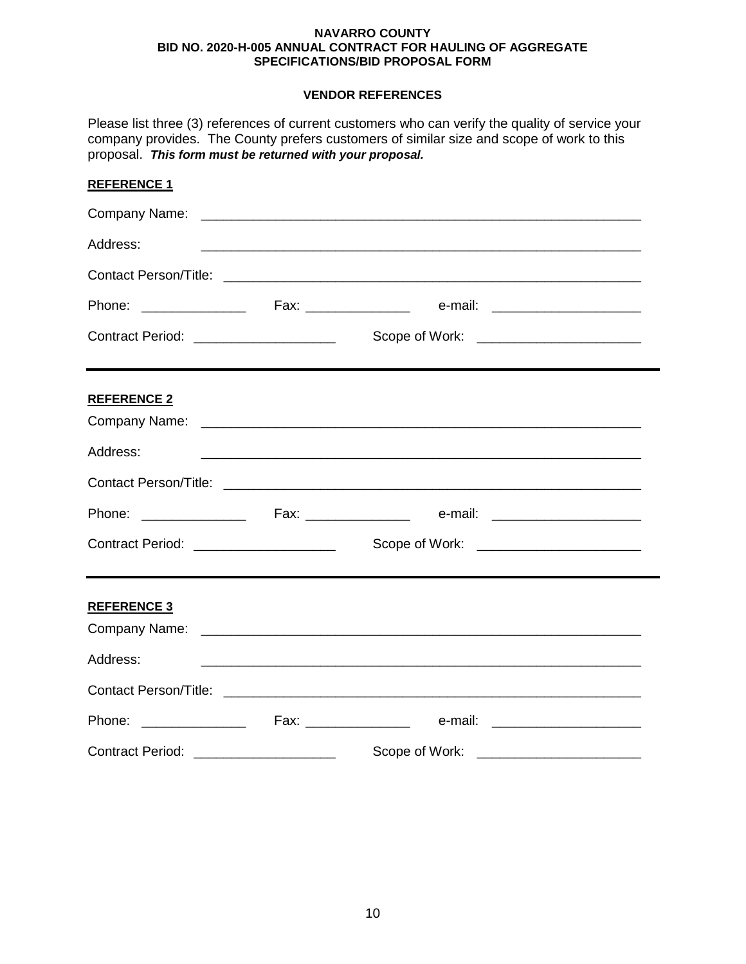# **VENDOR REFERENCES**

| proposal. This form must be returned with your proposal. | Please list three (3) references of current customers who can verify the quality of service your<br>company provides. The County prefers customers of similar size and scope of work to this |  |
|----------------------------------------------------------|----------------------------------------------------------------------------------------------------------------------------------------------------------------------------------------------|--|
| <b>REFERENCE 1</b>                                       |                                                                                                                                                                                              |  |
|                                                          |                                                                                                                                                                                              |  |
| Address:                                                 | <u> 1989 - Jan Barbara, martxa al Indonesia (h. 1989).</u>                                                                                                                                   |  |
|                                                          |                                                                                                                                                                                              |  |
|                                                          |                                                                                                                                                                                              |  |
| Contract Period: _____________________                   |                                                                                                                                                                                              |  |
| <b>REFERENCE 2</b>                                       |                                                                                                                                                                                              |  |
| Address:                                                 |                                                                                                                                                                                              |  |
|                                                          |                                                                                                                                                                                              |  |
|                                                          |                                                                                                                                                                                              |  |
| Contract Period: _____________________                   | Scope of Work: <u>_____________________</u>                                                                                                                                                  |  |
| <b>REFERENCE 3</b>                                       |                                                                                                                                                                                              |  |
|                                                          |                                                                                                                                                                                              |  |
| Address:                                                 |                                                                                                                                                                                              |  |
|                                                          |                                                                                                                                                                                              |  |
|                                                          |                                                                                                                                                                                              |  |
| Contract Period: _____________________                   | Scope of Work: _______________________                                                                                                                                                       |  |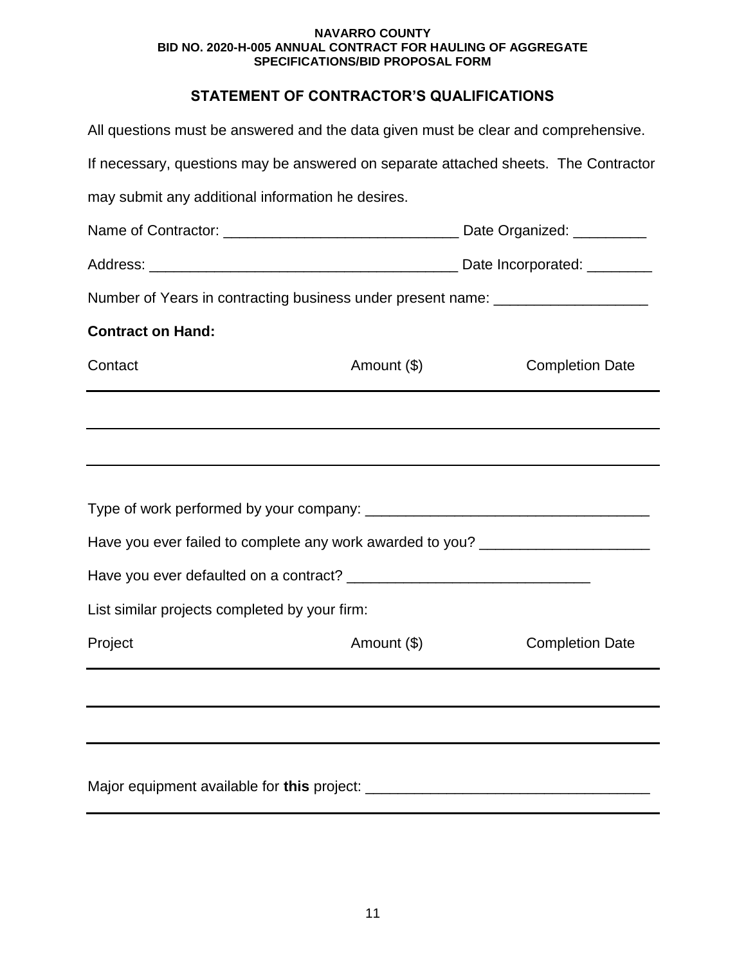# **STATEMENT OF CONTRACTOR'S QUALIFICATIONS**

| All questions must be answered and the data given must be clear and comprehensive.  |             |  |                        |
|-------------------------------------------------------------------------------------|-------------|--|------------------------|
| If necessary, questions may be answered on separate attached sheets. The Contractor |             |  |                        |
| may submit any additional information he desires.                                   |             |  |                        |
|                                                                                     |             |  |                        |
|                                                                                     |             |  |                        |
| Number of Years in contracting business under present name: ____________________    |             |  |                        |
| <b>Contract on Hand:</b>                                                            |             |  |                        |
| Contact                                                                             | Amount (\$) |  | <b>Completion Date</b> |
|                                                                                     |             |  |                        |
|                                                                                     |             |  |                        |
|                                                                                     |             |  |                        |
|                                                                                     |             |  |                        |
| Have you ever failed to complete any work awarded to you? ______________________    |             |  |                        |
|                                                                                     |             |  |                        |
| List similar projects completed by your firm:                                       |             |  |                        |
| Project                                                                             | Amount (\$) |  | <b>Completion Date</b> |
|                                                                                     |             |  |                        |
|                                                                                     |             |  |                        |
|                                                                                     |             |  |                        |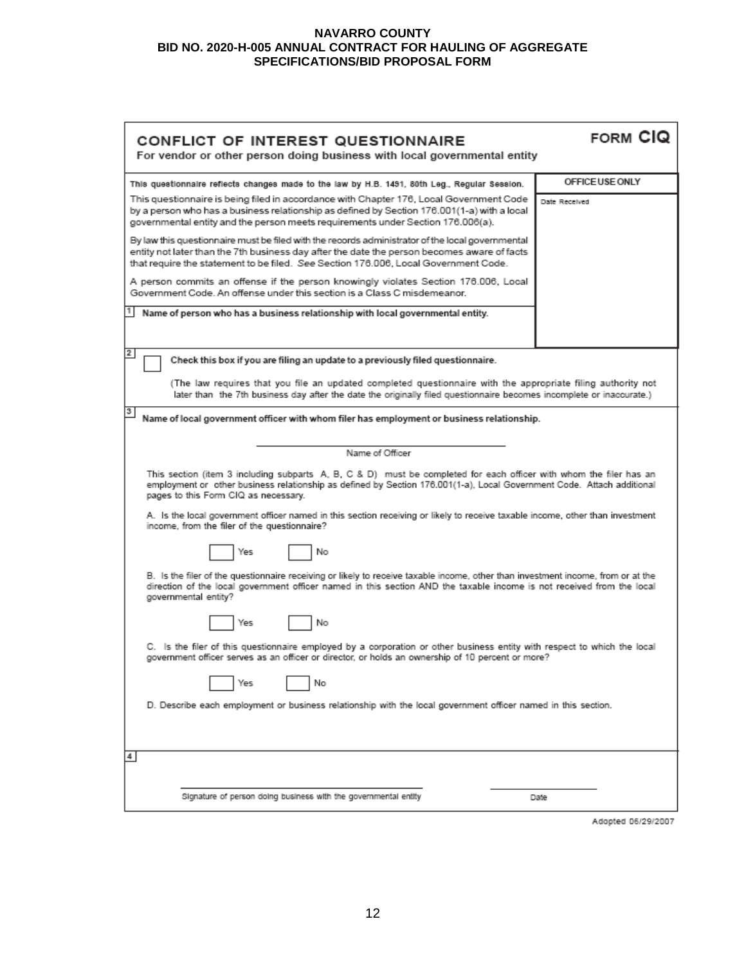| <b>CONFLICT OF INTEREST QUESTIONNAIRE</b>                                                                                                                                                                                                                                              | FORM CIQ        |  |
|----------------------------------------------------------------------------------------------------------------------------------------------------------------------------------------------------------------------------------------------------------------------------------------|-----------------|--|
| For vendor or other person doing business with local governmental entity                                                                                                                                                                                                               |                 |  |
| This questionnaire reflects changes made to the law by H.B. 1491, 80th Leg., Regular Session.                                                                                                                                                                                          | OFFICE USE ONLY |  |
| This questionnaire is being filed in accordance with Chapter 176, Local Government Code<br>by a person who has a business relationship as defined by Section 176.001(1-a) with a local<br>governmental entity and the person meets requirements under Section 176.006(a).              | Date Received   |  |
| By law this questionnaire must be filed with the records administrator of the local governmental<br>entity not later than the 7th business day after the date the person becomes aware of facts<br>that require the statement to be filed. See Section 176.006, Local Government Code. |                 |  |
| A person commits an offense if the person knowingly violates Section 176.006, Local<br>Government Code, An offense under this section is a Class C misdemeanor.                                                                                                                        |                 |  |
| Name of person who has a business relationship with local governmental entity.                                                                                                                                                                                                         |                 |  |
| 2<br>Check this box if you are filing an update to a previously filed questionnaire.                                                                                                                                                                                                   |                 |  |
| (The law requires that you file an updated completed questionnaire with the appropriate filing authority not<br>later than the 7th business day after the date the originally filed questionnaire becomes incomplete or inaccurate.)                                                   |                 |  |
| 3<br>Name of local government officer with whom filer has employment or business relationship.                                                                                                                                                                                         |                 |  |
| Name of Officer                                                                                                                                                                                                                                                                        |                 |  |
| This section (item 3 including subparts A, B, C & D) must be completed for each officer with whom the filer has an<br>employment or other business relationship as defined by Section 176.001(1-a), Local Government Code. Attach additional<br>pages to this Form CIQ as necessary.   |                 |  |
| A. Is the local government officer named in this section receiving or likely to receive taxable income, other than investment<br>income, from the filer of the questionnaire?                                                                                                          |                 |  |
| No<br>Yes                                                                                                                                                                                                                                                                              |                 |  |
| B. Is the filer of the questionnaire receiving or likely to receive taxable income, other than investment income, from or at the<br>direction of the local government officer named in this section AND the taxable income is not received from the local<br>governmental entity?      |                 |  |
| No<br>Yes                                                                                                                                                                                                                                                                              |                 |  |
| C. Is the filer of this questionnaire employed by a corporation or other business entity with respect to which the local<br>? government officer serves as an officer or director, or holds an ownership of 10 percent or more                                                         |                 |  |
| No<br>Yes                                                                                                                                                                                                                                                                              |                 |  |
| D. Describe each employment or business relationship with the local government officer named in this section.                                                                                                                                                                          |                 |  |
|                                                                                                                                                                                                                                                                                        |                 |  |
| 4                                                                                                                                                                                                                                                                                      |                 |  |
| Signature of person doing business with the governmental entity                                                                                                                                                                                                                        | Date            |  |

Adopted 06/29/2007